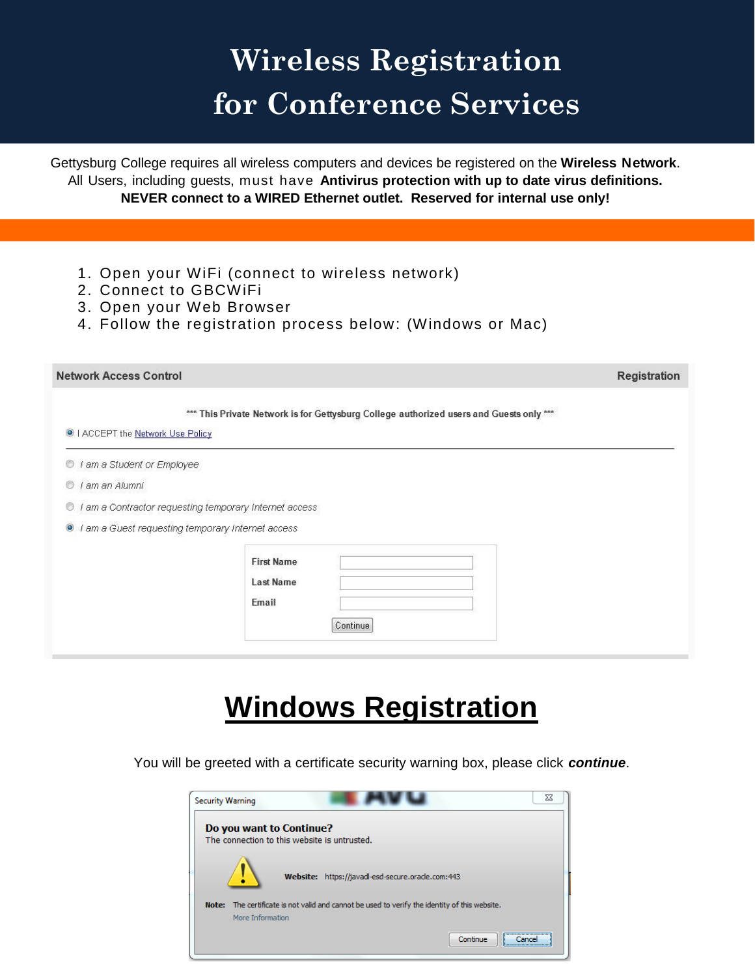## **Wireless Registration for Conference Services**

Gettysburg College requires all wireless computers and devices be registered on the **Wireless Network**. All Users, including guests, must have **Antivirus protection with up to date virus definitions. NEVER connect to a WIRED Ethernet outlet. Reserved for internal use only!** 

- 1. Open your WiFi (connect to wireless network)
- 2. Connect to GBCWiFi

i<br>I

- 3. Open your Web Browser
- 4. Follow the registration process below: (Windows or Mac)

| <b>Network Access Control</b>                               |                                                                                         | Registration |
|-------------------------------------------------------------|-----------------------------------------------------------------------------------------|--------------|
| I ACCEPT the Network Use Policy                             | *** This Private Network is for Gettysburg College authorized users and Guests only *** |              |
| I am a Student or Employee<br>O                             |                                                                                         |              |
| I am an Alumni<br>O                                         |                                                                                         |              |
| I am a Contractor requesting temporary Internet access<br>O |                                                                                         |              |
| I am a Guest requesting temporary Internet access           |                                                                                         |              |
|                                                             | <b>First Name</b><br><b>Last Name</b><br>Email<br>Continue                              |              |

## **Windows Registration**

You will be greeted with a certificate security warning box, please click *continue*.

| <b>Security Warning</b> | 23                                                                                                          |
|-------------------------|-------------------------------------------------------------------------------------------------------------|
|                         | Do you want to Continue?<br>The connection to this website is untrusted.                                    |
|                         | Website: https://javadl-esd-secure.oracle.com:443                                                           |
| Note:                   | The certificate is not valid and cannot be used to verify the identity of this website.<br>More Information |
|                         | Continue<br>:                                                                                               |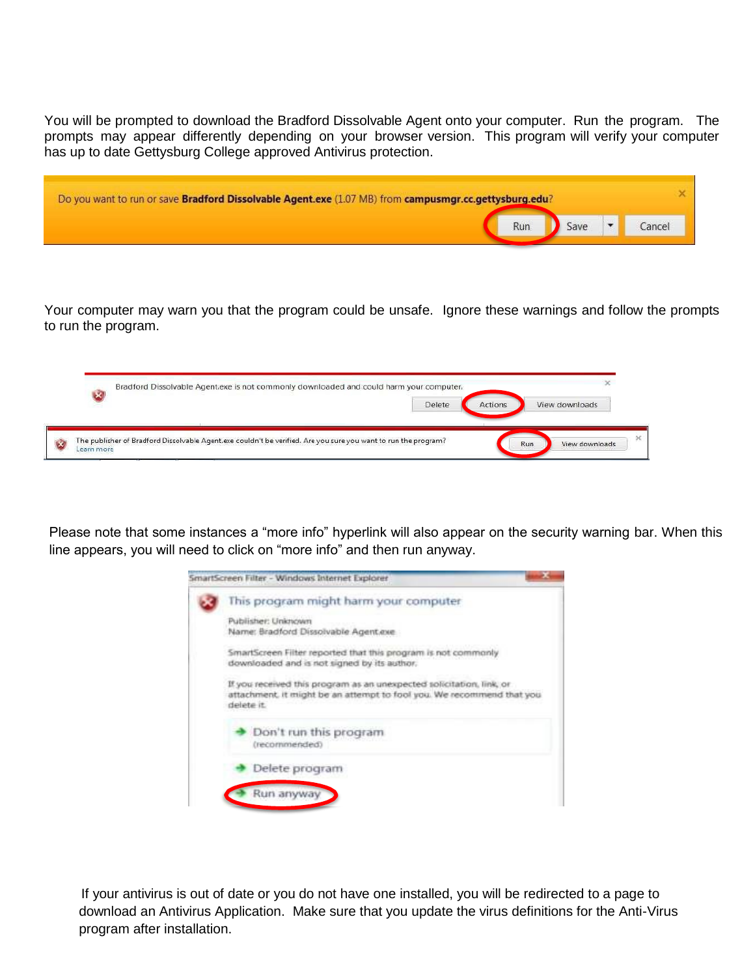You will be prompted to download the Bradford Dissolvable Agent onto your computer. Run the program. The prompts may appear differently depending on your browser version. This program will verify your computer has up to date Gettysburg College approved Antivirus protection.

| Do you want to run or save Bradford Dissolvable Agent.exe (1.07 MB) from campusmgr.cc.gettysburg.edu? |     |      |        |
|-------------------------------------------------------------------------------------------------------|-----|------|--------|
|                                                                                                       | Run | Save | Cancel |

Your computer may warn you that the program could be unsafe. Ignore these warnings and follow the prompts to run the program.

|  | Bradford Dissolvable Agent.exe is not commonly downloaded and could harm your computer. |        |                |                |  |
|--|-----------------------------------------------------------------------------------------|--------|----------------|----------------|--|
|  |                                                                                         | Delete | <b>Actions</b> | View downloads |  |
|  |                                                                                         |        |                |                |  |

Please note that some instances a "more info" hyperlink will also appear on the security warning bar. When this line appears, you will need to click on "more info" and then run anyway.

| This program might harm your computer                                                                                                                       |
|-------------------------------------------------------------------------------------------------------------------------------------------------------------|
| Publisher: Unknown<br>Name: Bradford Dissolvable Agent.exe                                                                                                  |
| SmartScreen Filter reported that this program is not commonly<br>downloaded and is not signed by its author.                                                |
| If you received this program as an unexpected solicitation, link, or<br>attachment, it might be an attempt to fool you. We recommend that you<br>delete it. |
| Don't run this program<br>(recommended)                                                                                                                     |
|                                                                                                                                                             |

 If your antivirus is out of date or you do not have one installed, you will be redirected to a page to download an Antivirus Application. Make sure that you update the virus definitions for the Anti-Virus program after installation.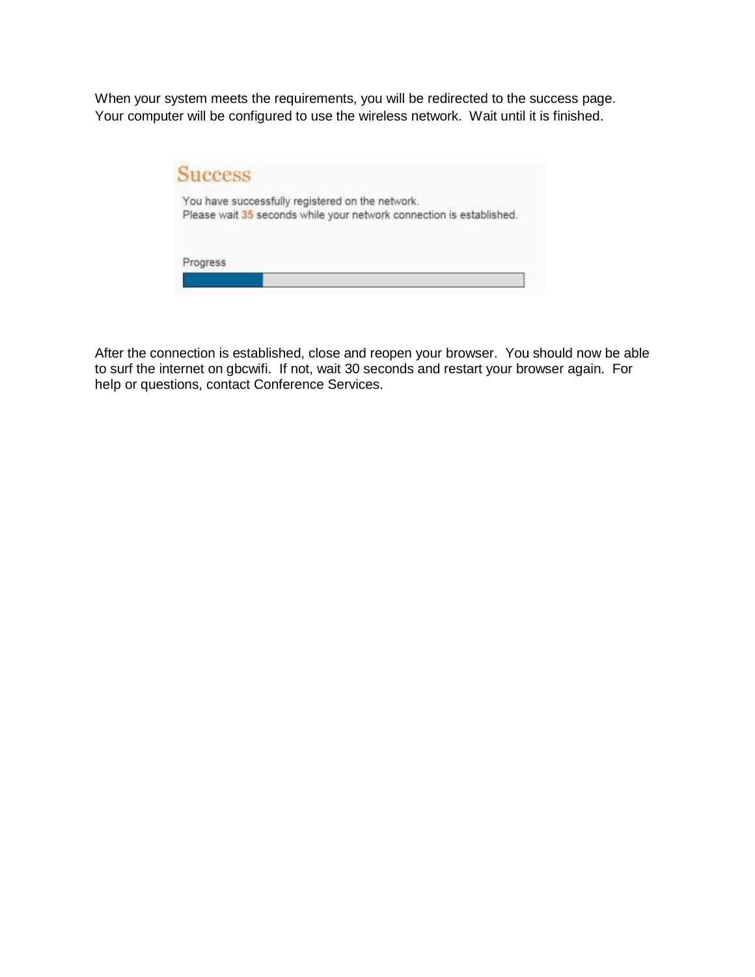When your system meets the requirements, you will be redirected to the success page. Your computer will be configured to use the wireless network. Wait until it is finished.



After the connection is established, close and reopen your browser. You should now be able to surf the internet on gbcwifi. If not, wait 30 seconds and restart your browser again. For help or questions, contact Conference Services.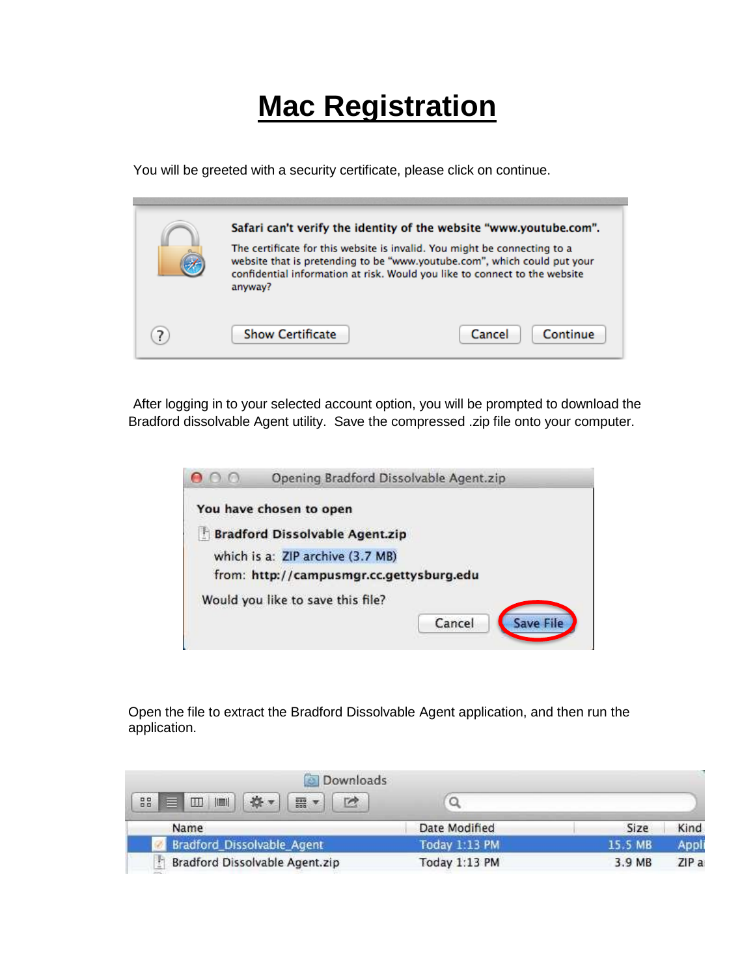## **Mac Registration**

You will be greeted with a security certificate, please click on continue.

| anyway?                 | Safari can't verify the identity of the website "www.youtube.com".<br>The certificate for this website is invalid. You might be connecting to a<br>website that is pretending to be "www.youtube.com", which could put your<br>confidential information at risk. Would you like to connect to the website |
|-------------------------|-----------------------------------------------------------------------------------------------------------------------------------------------------------------------------------------------------------------------------------------------------------------------------------------------------------|
| <b>Show Certificate</b> | Continue<br>Cancel                                                                                                                                                                                                                                                                                        |

After logging in to your selected account option, you will be prompted to download the Bradford dissolvable Agent utility. Save the compressed .zip file onto your computer.

| Opening Bradford Dissolvable Agent.zip   |
|------------------------------------------|
| You have chosen to open                  |
| <b>Bradford Dissolvable Agent.zip</b>    |
| which is a: ZIP archive (3.7 MB)         |
| from: http://campusmgr.cc.gettysburg.edu |
| Would you like to save this file?        |
| Cancel<br><b>Save File</b>               |
|                                          |

Open the file to extract the Bradford Dissolvable Agent application, and then run the application.

| <b>Downloads</b>                |               |         |      |
|---------------------------------|---------------|---------|------|
| 88<br>言<br>噩<br>  黒  <br>$\Box$ | u             |         |      |
| Name                            | Date Modified | Size    | Kind |
| Bradford_Dissolvable_Agent      | Today 1:13 PM | 15.5 MB | Appl |
| Bradford Dissolvable Agent.zip  | Today 1:13 PM | 3.9 MB  | ZIPa |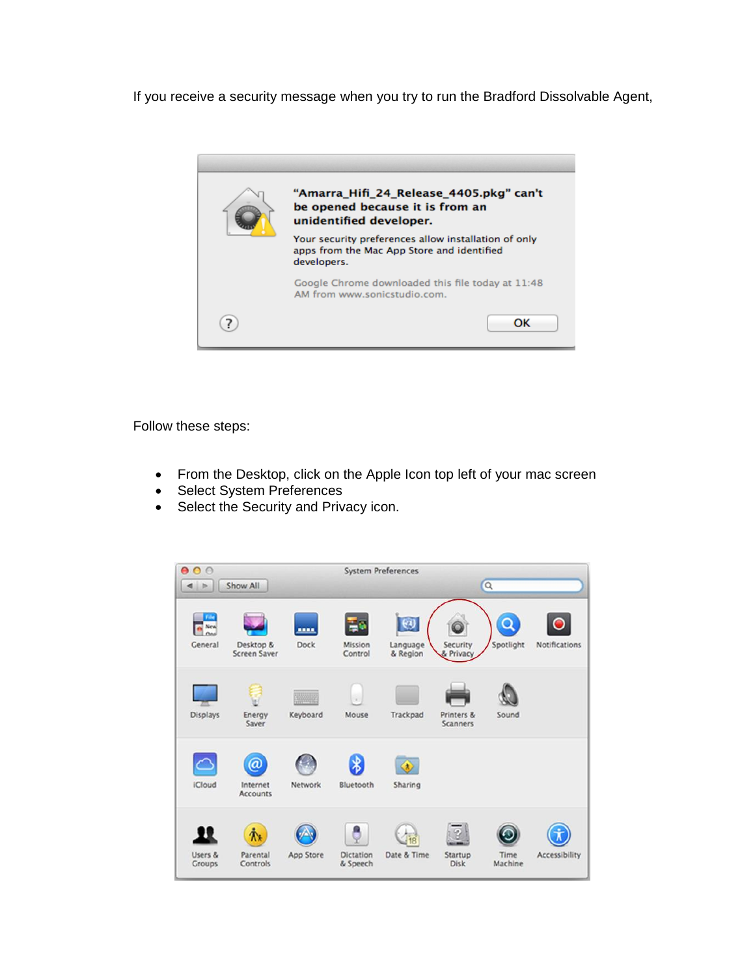If you receive a security message when you try to run the Bradford Dissolvable Agent,



Follow these steps:

- From the Desktop, click on the Apple Icon top left of your mac screen
- Select System Preferences
- Select the Security and Privacy icon.